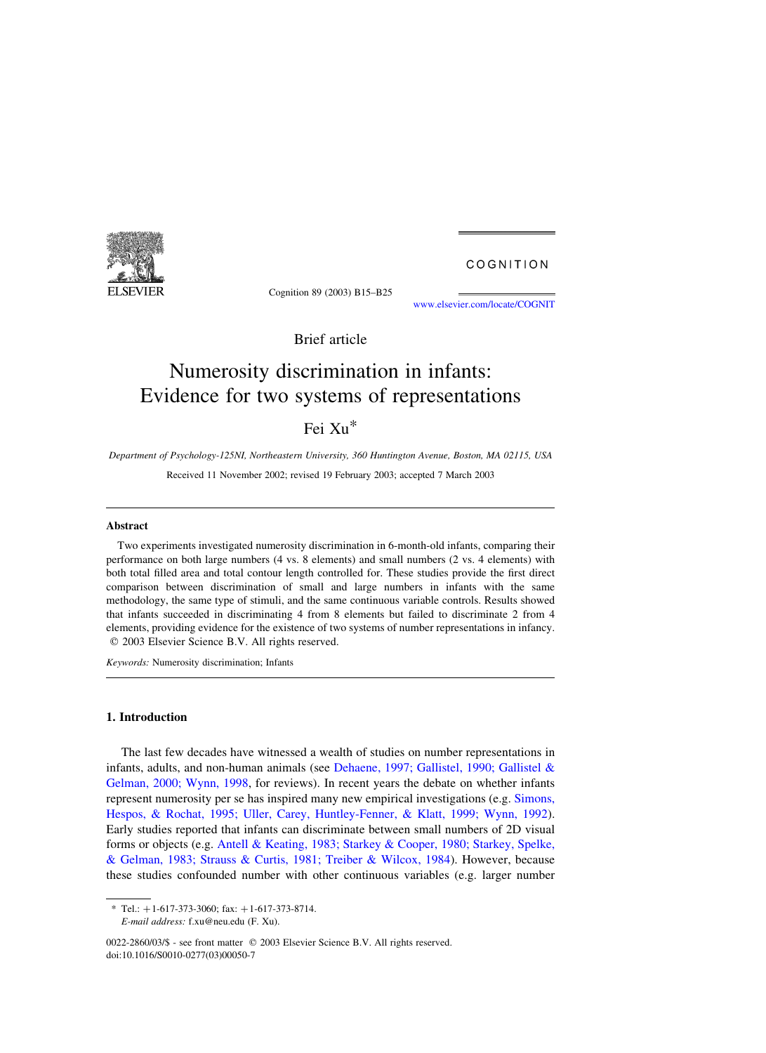

Cognition 89 (2003) B15–B25

[www.elsevier.com/locate/COGNIT](http://www.elsevier.com/locate/COGNIT)

COGNITION

Brief article

# Numerosity discrimination in infants: Evidence for two systems of representations

## Fei Xu\*

Department of Psychology-125NI, Northeastern University, 360 Huntington Avenue, Boston, MA 02115, USA

Received 11 November 2002; revised 19 February 2003; accepted 7 March 2003

## Abstract

Two experiments investigated numerosity discrimination in 6-month-old infants, comparing their performance on both large numbers (4 vs. 8 elements) and small numbers (2 vs. 4 elements) with both total filled area and total contour length controlled for. These studies provide the first direct comparison between discrimination of small and large numbers in infants with the same methodology, the same type of stimuli, and the same continuous variable controls. Results showed that infants succeeded in discriminating 4 from 8 elements but failed to discriminate 2 from 4 elements, providing evidence for the existence of two systems of number representations in infancy.  $Q$  2003 Elsevier Science B.V. All rights reserved.

Keywords: Numerosity discrimination; Infants

## 1. Introduction

The last few decades have witnessed a wealth of studies on number representations in infants, adults, and non-human animals (see [Dehaene, 1997; Gallistel, 1990; Gallistel &](#page-9-0) [Gelman, 2000; Wynn, 1998,](#page-9-0) for reviews). In recent years the debate on whether infants represent numerosity per se has inspired many new empirical investigations (e.g. [Simons,](#page-10-0) [Hespos, & Rochat, 1995; Uller, Carey, Huntley-Fenner, & Klatt, 1999; Wynn, 1992\)](#page-10-0). Early studies reported that infants can discriminate between small numbers of 2D visual forms or objects (e.g. [Antell & Keating, 1983; Starkey & Cooper, 1980; Starkey, Spelke,](#page-9-0) [& Gelman, 1983; Strauss & Curtis, 1981; Treiber & Wilcox, 1984](#page-9-0)). However, because these studies confounded number with other continuous variables (e.g. larger number

<sup>\*</sup> Tel.:  $+1-617-373-3060$ ; fax:  $+1-617-373-8714$ .

E-mail address: f.xu@neu.edu (F. Xu).

<sup>0022-2860/03/\$ -</sup> see front matter © 2003 Elsevier Science B.V. All rights reserved. doi:10.1016/S0010-0277(03)00050-7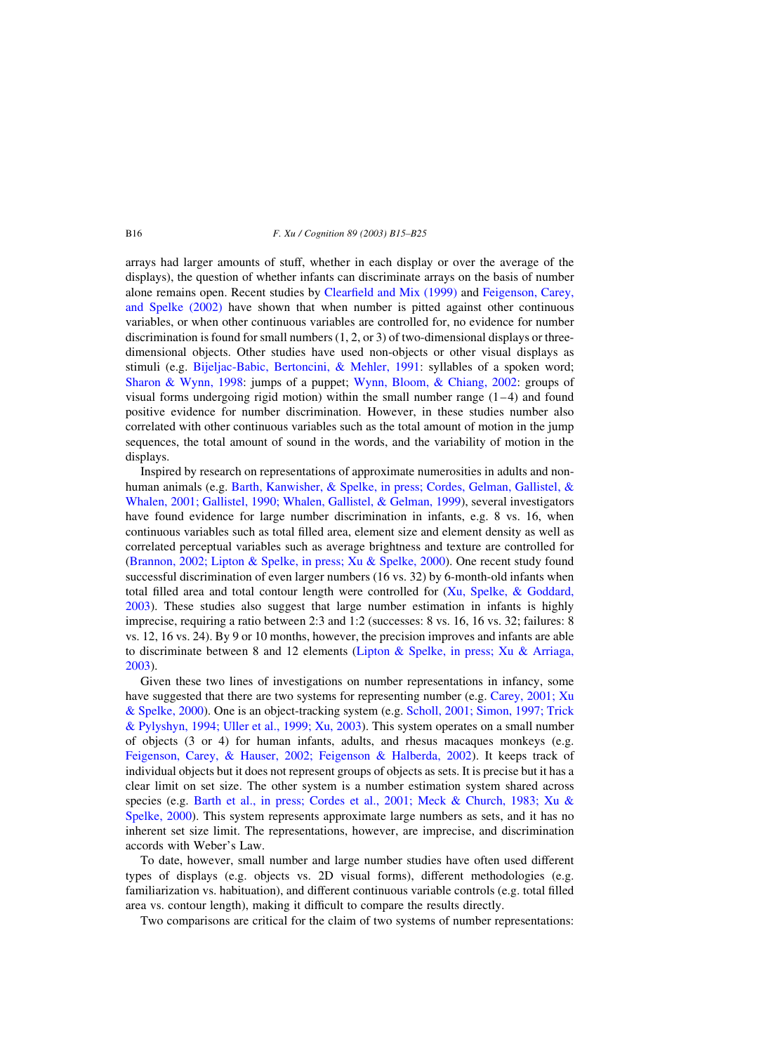#### B16 F. Xu / Cognition 89 (2003) B15–B25

arrays had larger amounts of stuff, whether in each display or over the average of the displays), the question of whether infants can discriminate arrays on the basis of number alone remains open. Recent studies by [Clearfield and Mix \(1999\)](#page-9-0) and [Feigenson, Carey,](#page-9-0) [and Spelke \(2002\)](#page-9-0) have shown that when number is pitted against other continuous variables, or when other continuous variables are controlled for, no evidence for number discrimination is found for small numbers (1, 2, or 3) of two-dimensional displays or threedimensional objects. Other studies have used non-objects or other visual displays as stimuli (e.g. [Bijeljac-Babic, Bertoncini, & Mehler, 1991:](#page-9-0) syllables of a spoken word; [Sharon & Wynn, 1998](#page-10-0): jumps of a puppet; [Wynn, Bloom, & Chiang, 2002](#page-10-0): groups of visual forms undergoing rigid motion) within the small number range  $(1-4)$  and found positive evidence for number discrimination. However, in these studies number also correlated with other continuous variables such as the total amount of motion in the jump sequences, the total amount of sound in the words, and the variability of motion in the displays.

Inspired by research on representations of approximate numerosities in adults and nonhuman animals (e.g. [Barth, Kanwisher, & Spelke, in press; Cordes, Gelman, Gallistel, &](#page-9-0) [Whalen, 2001; Gallistel, 1990; Whalen, Gallistel, & Gelman, 1999\)](#page-9-0), several investigators have found evidence for large number discrimination in infants, e.g. 8 vs. 16, when continuous variables such as total filled area, element size and element density as well as correlated perceptual variables such as average brightness and texture are controlled for ([Brannon, 2002; Lipton & Spelke, in press; Xu & Spelke, 2000](#page-9-0)). One recent study found successful discrimination of even larger numbers (16 vs. 32) by 6-month-old infants when total filled area and total contour length were controlled for ([Xu, Spelke, & Goddard,](#page-10-0) [2003](#page-10-0)). These studies also suggest that large number estimation in infants is highly imprecise, requiring a ratio between 2:3 and 1:2 (successes: 8 vs. 16, 16 vs. 32; failures: 8 vs. 12, 16 vs. 24). By 9 or 10 months, however, the precision improves and infants are able to discriminate between 8 and 12 elements [\(Lipton & Spelke, in press; Xu & Arriaga,](#page-9-0) [2003](#page-9-0)).

Given these two lines of investigations on number representations in infancy, some have suggested that there are two systems for representing number (e.g. [Carey, 2001; Xu](#page-9-0) [& Spelke, 2000\)](#page-9-0). One is an object-tracking system (e.g. [Scholl, 2001; Simon, 1997; Trick](#page-10-0) [& Pylyshyn, 1994; Uller et al., 1999; Xu, 2003](#page-10-0)). This system operates on a small number of objects (3 or 4) for human infants, adults, and rhesus macaques monkeys (e.g. [Feigenson, Carey, & Hauser, 2002; Feigenson & Halberda, 2002](#page-9-0)). It keeps track of individual objects but it does not represent groups of objects as sets. It is precise but it has a clear limit on set size. The other system is a number estimation system shared across species (e.g. [Barth et al., in press; Cordes et al., 2001; Meck & Church, 1983; Xu &](#page-9-0) [Spelke, 2000](#page-9-0)). This system represents approximate large numbers as sets, and it has no inherent set size limit. The representations, however, are imprecise, and discrimination accords with Weber's Law.

To date, however, small number and large number studies have often used different types of displays (e.g. objects vs. 2D visual forms), different methodologies (e.g. familiarization vs. habituation), and different continuous variable controls (e.g. total filled area vs. contour length), making it difficult to compare the results directly.

Two comparisons are critical for the claim of two systems of number representations: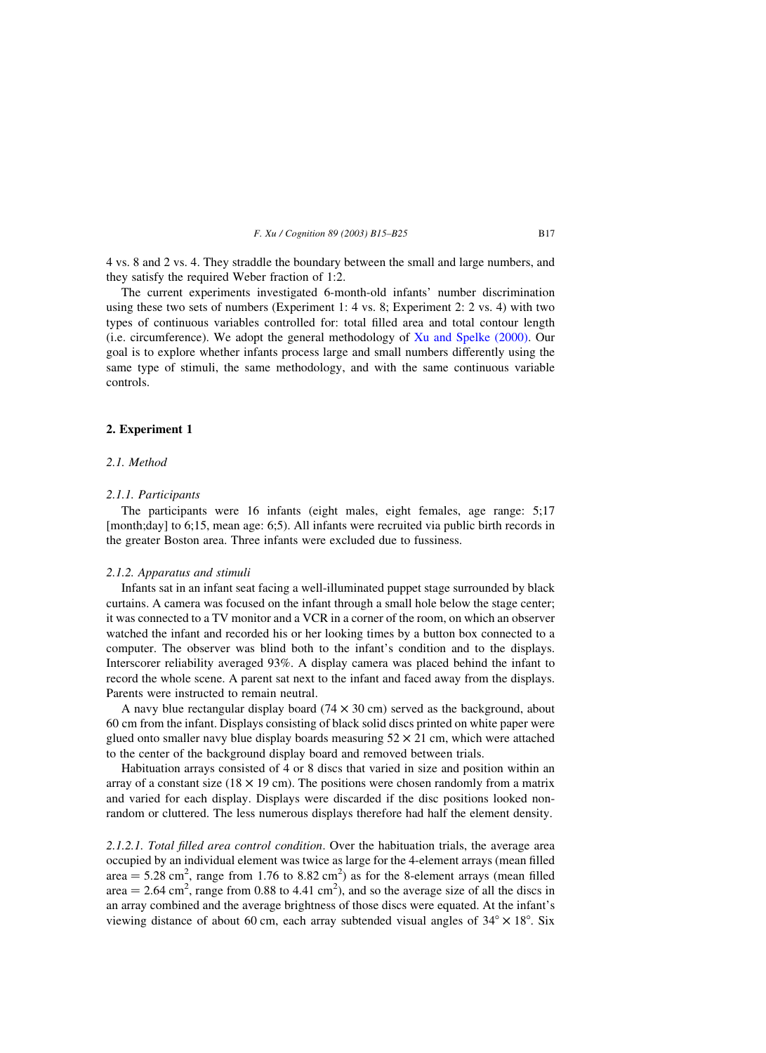4 vs. 8 and 2 vs. 4. They straddle the boundary between the small and large numbers, and they satisfy the required Weber fraction of 1:2.

The current experiments investigated 6-month-old infants' number discrimination using these two sets of numbers (Experiment 1: 4 vs. 8; Experiment 2: 2 vs. 4) with two types of continuous variables controlled for: total filled area and total contour length (i.e. circumference). We adopt the general methodology of [Xu and Spelke \(2000\)](#page-10-0). Our goal is to explore whether infants process large and small numbers differently using the same type of stimuli, the same methodology, and with the same continuous variable controls.

## 2. Experiment 1

## 2.1. Method

#### 2.1.1. Participants

The participants were 16 infants (eight males, eight females, age range: 5;17 [month;day] to 6;15, mean age: 6;5). All infants were recruited via public birth records in the greater Boston area. Three infants were excluded due to fussiness.

#### 2.1.2. Apparatus and stimuli

Infants sat in an infant seat facing a well-illuminated puppet stage surrounded by black curtains. A camera was focused on the infant through a small hole below the stage center; it was connected to a TV monitor and a VCR in a corner of the room, on which an observer watched the infant and recorded his or her looking times by a button box connected to a computer. The observer was blind both to the infant's condition and to the displays. Interscorer reliability averaged 93%. A display camera was placed behind the infant to record the whole scene. A parent sat next to the infant and faced away from the displays. Parents were instructed to remain neutral.

A navy blue rectangular display board  $(74 \times 30 \text{ cm})$  served as the background, about 60 cm from the infant. Displays consisting of black solid discs printed on white paper were glued onto smaller navy blue display boards measuring  $52 \times 21$  cm, which were attached to the center of the background display board and removed between trials.

Habituation arrays consisted of 4 or 8 discs that varied in size and position within an array of a constant size (18  $\times$  19 cm). The positions were chosen randomly from a matrix and varied for each display. Displays were discarded if the disc positions looked nonrandom or cluttered. The less numerous displays therefore had half the element density.

2.1.2.1. Total filled area control condition. Over the habituation trials, the average area occupied by an individual element was twice as large for the 4-element arrays (mean filled area  $= 5.28$  cm<sup>2</sup>, range from 1.76 to 8.82 cm<sup>2</sup>) as for the 8-element arrays (mean filled area  $= 2.64$  cm<sup>2</sup>, range from 0.88 to 4.41 cm<sup>2</sup>), and so the average size of all the discs in an array combined and the average brightness of those discs were equated. At the infant's viewing distance of about 60 cm, each array subtended visual angles of  $34^{\circ} \times 18^{\circ}$ . Six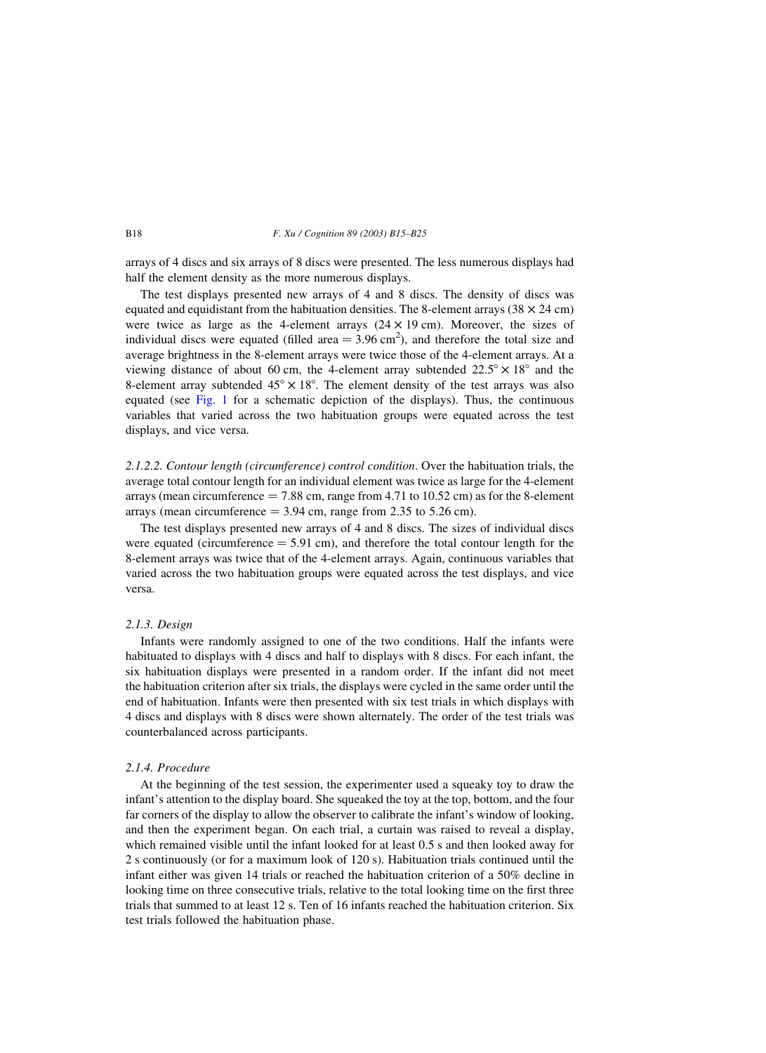#### B18 F. Xu / Cognition 89 (2003) B15–B25

arrays of 4 discs and six arrays of 8 discs were presented. The less numerous displays had half the element density as the more numerous displays.

The test displays presented new arrays of 4 and 8 discs. The density of discs was equated and equidistant from the habituation densities. The 8-element arrays ( $38 \times 24$  cm) were twice as large as the 4-element arrays  $(24 \times 19 \text{ cm})$ . Moreover, the sizes of individual discs were equated (filled area  $= 3.96$  cm<sup>2</sup>), and therefore the total size and average brightness in the 8-element arrays were twice those of the 4-element arrays. At a viewing distance of about 60 cm, the 4-element array subtended  $22.5^{\circ} \times 18^{\circ}$  and the 8-element array subtended  $45^{\circ} \times 18^{\circ}$ . The element density of the test arrays was also equated (see [Fig. 1](#page-4-0) for a schematic depiction of the displays). Thus, the continuous variables that varied across the two habituation groups were equated across the test displays, and vice versa.

2.1.2.2. Contour length (circumference) control condition. Over the habituation trials, the average total contour length for an individual element was twice as large for the 4-element arrays (mean circumference  $= 7.88$  cm, range from 4.71 to 10.52 cm) as for the 8-element arrays (mean circumference  $= 3.94$  cm, range from 2.35 to 5.26 cm).

The test displays presented new arrays of 4 and 8 discs. The sizes of individual discs were equated (circumference  $= 5.91$  cm), and therefore the total contour length for the 8-element arrays was twice that of the 4-element arrays. Again, continuous variables that varied across the two habituation groups were equated across the test displays, and vice versa.

#### 2.1.3. Design

Infants were randomly assigned to one of the two conditions. Half the infants were habituated to displays with 4 discs and half to displays with 8 discs. For each infant, the six habituation displays were presented in a random order. If the infant did not meet the habituation criterion after six trials, the displays were cycled in the same order until the end of habituation. Infants were then presented with six test trials in which displays with 4 discs and displays with 8 discs were shown alternately. The order of the test trials was counterbalanced across participants.

#### 2.1.4. Procedure

At the beginning of the test session, the experimenter used a squeaky toy to draw the infant's attention to the display board. She squeaked the toy at the top, bottom, and the four far corners of the display to allow the observer to calibrate the infant's window of looking, and then the experiment began. On each trial, a curtain was raised to reveal a display, which remained visible until the infant looked for at least 0.5 s and then looked away for 2 s continuously (or for a maximum look of 120 s). Habituation trials continued until the infant either was given 14 trials or reached the habituation criterion of a 50% decline in looking time on three consecutive trials, relative to the total looking time on the first three trials that summed to at least 12 s. Ten of 16 infants reached the habituation criterion. Six test trials followed the habituation phase.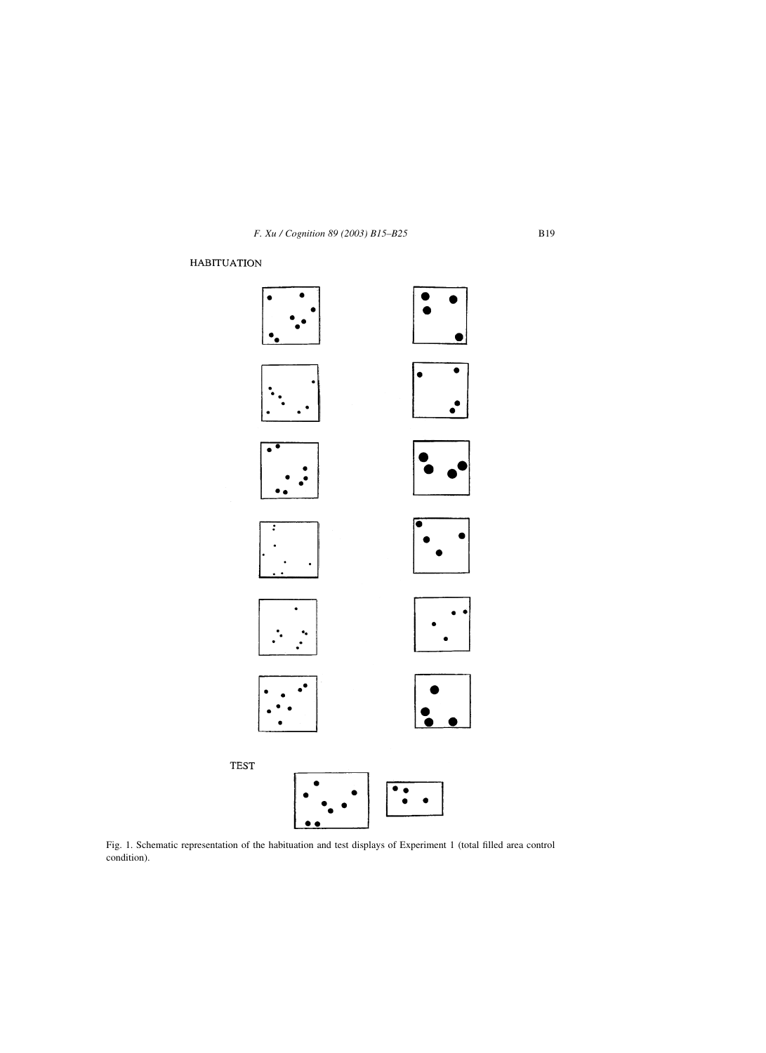## <span id="page-4-0"></span>**HABITUATION**



Fig. 1. Schematic representation of the habituation and test displays of Experiment 1 (total filled area control condition).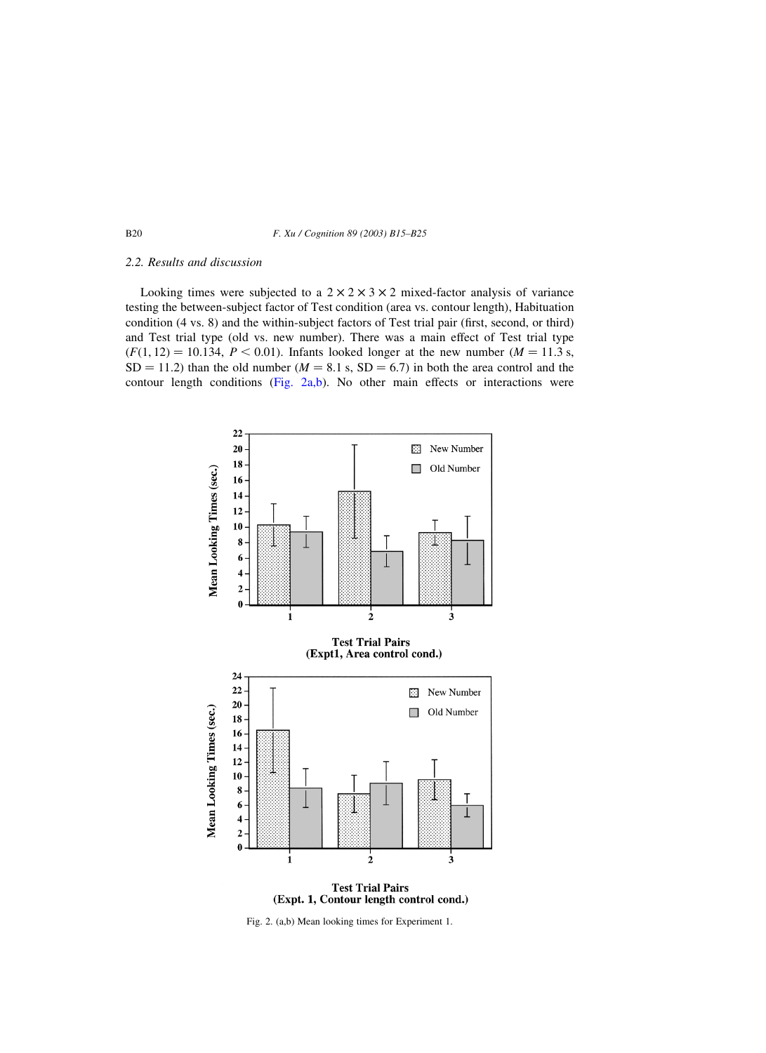#### B20 F. Xu / Cognition 89 (2003) B15–B25

#### 2.2. Results and discussion

Looking times were subjected to a  $2 \times 2 \times 3 \times 2$  mixed-factor analysis of variance testing the between-subject factor of Test condition (area vs. contour length), Habituation condition (4 vs. 8) and the within-subject factors of Test trial pair (first, second, or third) and Test trial type (old vs. new number). There was a main effect of Test trial type  $(F(1, 12) = 10.134, P < 0.01)$ . Infants looked longer at the new number  $(M = 11.3 s,$  $SD = 11.2$ ) than the old number ( $M = 8.1$  s,  $SD = 6.7$ ) in both the area control and the contour length conditions (Fig. 2a,b). No other main effects or interactions were





Fig. 2. (a,b) Mean looking times for Experiment 1.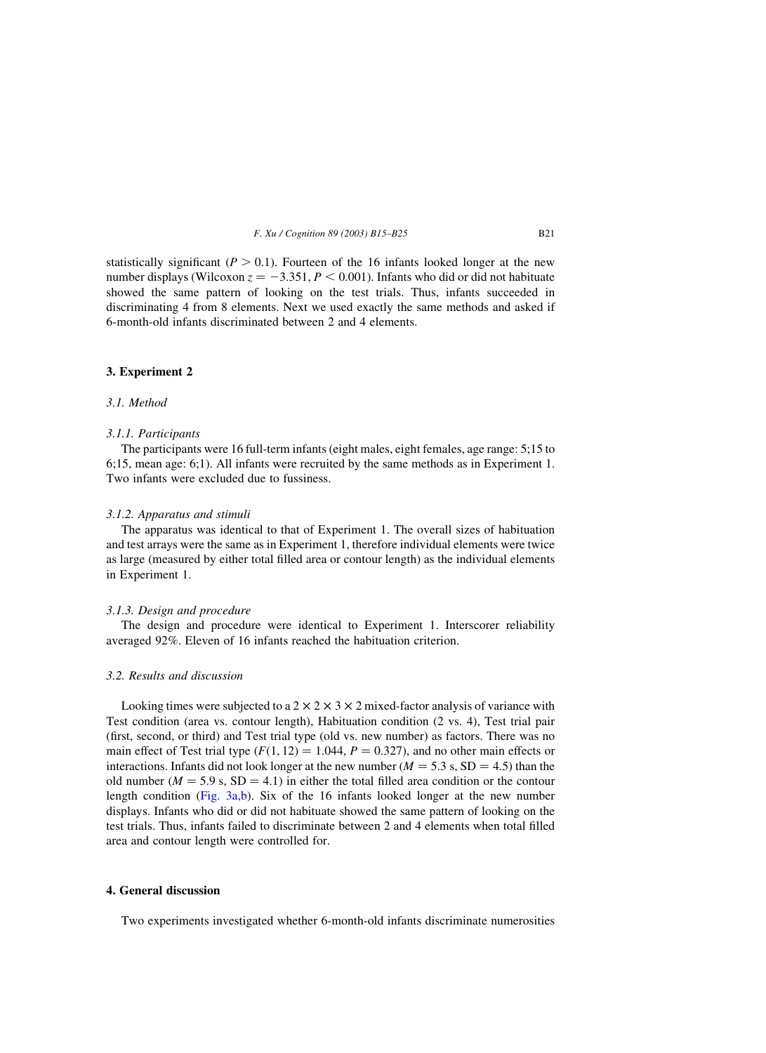statistically significant ( $P > 0.1$ ). Fourteen of the 16 infants looked longer at the new number displays (Wilcoxon  $z = -3.351, P \le 0.001$ ). Infants who did or did not habituate showed the same pattern of looking on the test trials. Thus, infants succeeded in discriminating 4 from 8 elements. Next we used exactly the same methods and asked if 6-month-old infants discriminated between 2 and 4 elements.

#### 3. Experiment 2

#### 3.1. Method

## 3.1.1. Participants

The participants were 16 full-term infants (eight males, eight females, age range: 5;15 to 6;15, mean age: 6;1). All infants were recruited by the same methods as in Experiment 1. Two infants were excluded due to fussiness.

#### 3.1.2. Apparatus and stimuli

The apparatus was identical to that of Experiment 1. The overall sizes of habituation and test arrays were the same as in Experiment 1, therefore individual elements were twice as large (measured by either total filled area or contour length) as the individual elements in Experiment 1.

#### 3.1.3. Design and procedure

The design and procedure were identical to Experiment 1. Interscorer reliability averaged 92%. Eleven of 16 infants reached the habituation criterion.

## 3.2. Results and discussion

Looking times were subjected to a  $2 \times 2 \times 3 \times 2$  mixed-factor analysis of variance with Test condition (area vs. contour length), Habituation condition (2 vs. 4), Test trial pair (first, second, or third) and Test trial type (old vs. new number) as factors. There was no main effect of Test trial type  $(F(1, 12) = 1.044, P = 0.327)$ , and no other main effects or interactions. Infants did not look longer at the new number ( $M = 5.3$  s, SD = 4.5) than the old number ( $M = 5.9$  s,  $SD = 4.1$ ) in either the total filled area condition or the contour length condition [\(Fig. 3a,b\)](#page-7-0). Six of the 16 infants looked longer at the new number displays. Infants who did or did not habituate showed the same pattern of looking on the test trials. Thus, infants failed to discriminate between 2 and 4 elements when total filled area and contour length were controlled for.

#### 4. General discussion

Two experiments investigated whether 6-month-old infants discriminate numerosities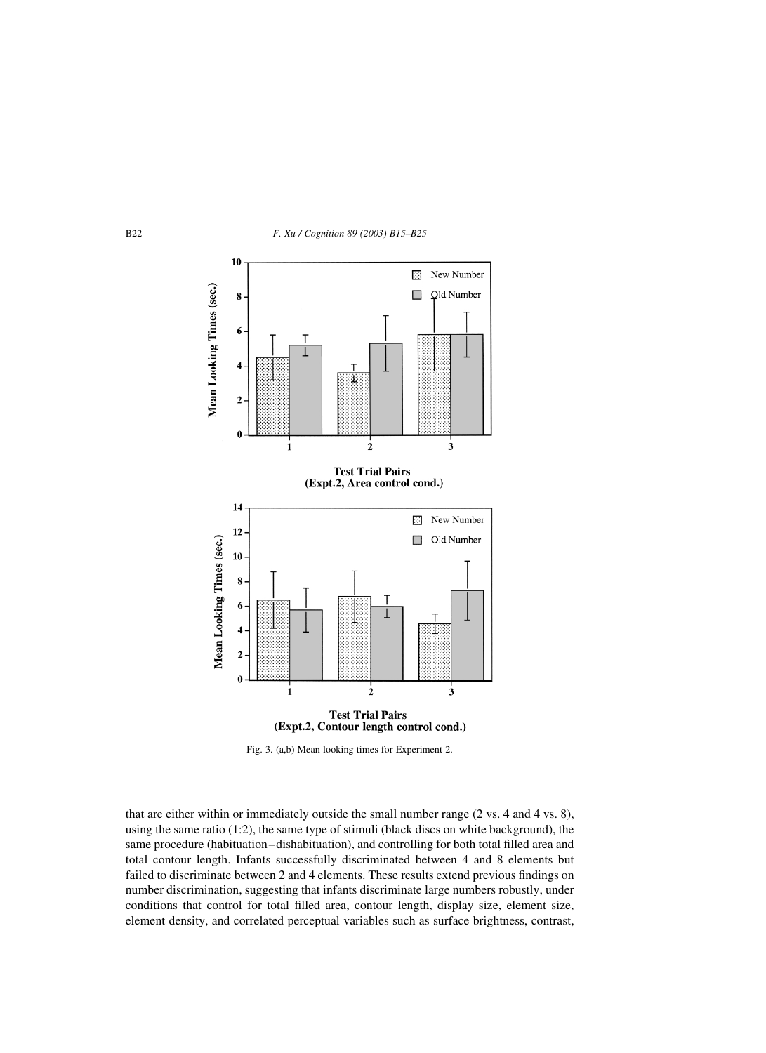<span id="page-7-0"></span>



Fig. 3. (a,b) Mean looking times for Experiment 2.

that are either within or immediately outside the small number range (2 vs. 4 and 4 vs. 8), using the same ratio (1:2), the same type of stimuli (black discs on white background), the same procedure (habituation–dishabituation), and controlling for both total filled area and total contour length. Infants successfully discriminated between 4 and 8 elements but failed to discriminate between 2 and 4 elements. These results extend previous findings on number discrimination, suggesting that infants discriminate large numbers robustly, under conditions that control for total filled area, contour length, display size, element size, element density, and correlated perceptual variables such as surface brightness, contrast,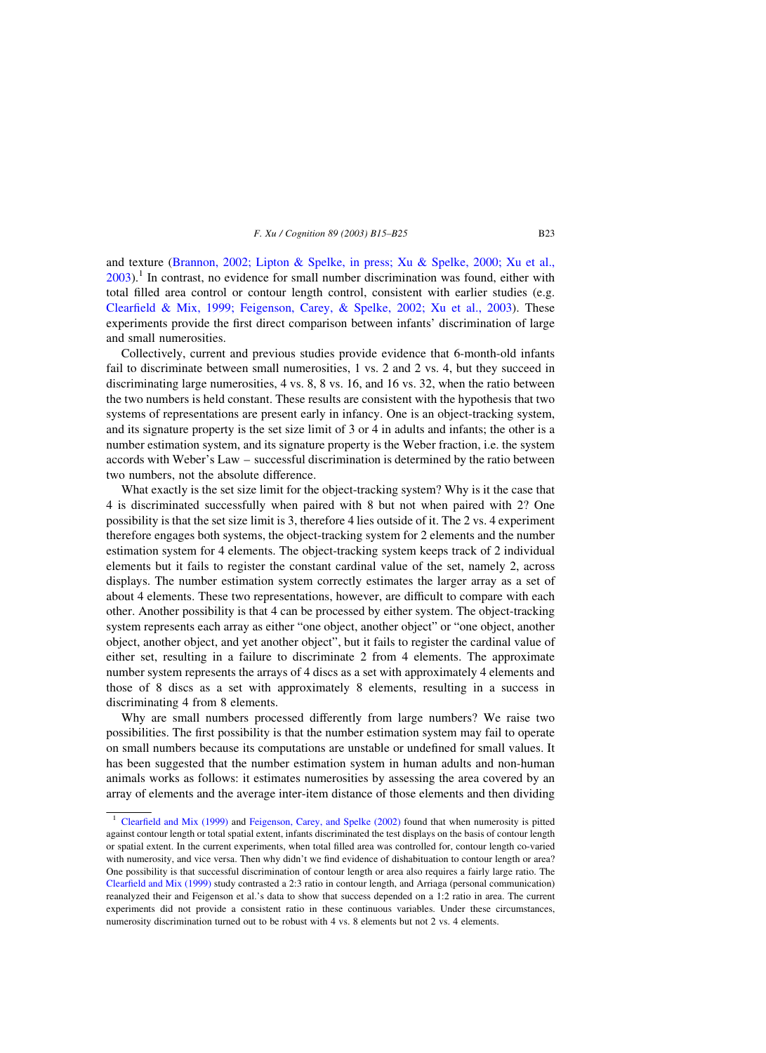and texture ([Brannon, 2002; Lipton & Spelke, in press; Xu & Spelke, 2000; Xu et al.,](#page-9-0)  $2003$ ).<sup>1</sup> In contrast, no evidence for small number discrimination was found, either with total filled area control or contour length control, consistent with earlier studies (e.g. [Clearfield & Mix, 1999; Feigenson, Carey, & Spelke, 2002; Xu et al., 2003](#page-9-0)). These experiments provide the first direct comparison between infants' discrimination of large and small numerosities.

Collectively, current and previous studies provide evidence that 6-month-old infants fail to discriminate between small numerosities, 1 vs. 2 and 2 vs. 4, but they succeed in discriminating large numerosities, 4 vs. 8, 8 vs. 16, and 16 vs. 32, when the ratio between the two numbers is held constant. These results are consistent with the hypothesis that two systems of representations are present early in infancy. One is an object-tracking system, and its signature property is the set size limit of 3 or 4 in adults and infants; the other is a number estimation system, and its signature property is the Weber fraction, i.e. the system accords with Weber's Law – successful discrimination is determined by the ratio between two numbers, not the absolute difference.

What exactly is the set size limit for the object-tracking system? Why is it the case that 4 is discriminated successfully when paired with 8 but not when paired with 2? One possibility is that the set size limit is 3, therefore 4 lies outside of it. The 2 vs. 4 experiment therefore engages both systems, the object-tracking system for 2 elements and the number estimation system for 4 elements. The object-tracking system keeps track of 2 individual elements but it fails to register the constant cardinal value of the set, namely 2, across displays. The number estimation system correctly estimates the larger array as a set of about 4 elements. These two representations, however, are difficult to compare with each other. Another possibility is that 4 can be processed by either system. The object-tracking system represents each array as either "one object, another object" or "one object, another object, another object, and yet another object", but it fails to register the cardinal value of either set, resulting in a failure to discriminate 2 from 4 elements. The approximate number system represents the arrays of 4 discs as a set with approximately 4 elements and those of 8 discs as a set with approximately 8 elements, resulting in a success in discriminating 4 from 8 elements.

Why are small numbers processed differently from large numbers? We raise two possibilities. The first possibility is that the number estimation system may fail to operate on small numbers because its computations are unstable or undefined for small values. It has been suggested that the number estimation system in human adults and non-human animals works as follows: it estimates numerosities by assessing the area covered by an array of elements and the average inter-item distance of those elements and then dividing

<sup>&</sup>lt;sup>1</sup> [Clearfield and Mix \(1999\)](#page-9-0) and [Feigenson, Carey, and Spelke \(2002\)](#page-9-0) found that when numerosity is pitted against contour length or total spatial extent, infants discriminated the test displays on the basis of contour length or spatial extent. In the current experiments, when total filled area was controlled for, contour length co-varied with numerosity, and vice versa. Then why didn't we find evidence of dishabituation to contour length or area? One possibility is that successful discrimination of contour length or area also requires a fairly large ratio. The [Clearfield and Mix \(1999\)](#page-9-0) study contrasted a 2:3 ratio in contour length, and Arriaga (personal communication) reanalyzed their and Feigenson et al.'s data to show that success depended on a 1:2 ratio in area. The current experiments did not provide a consistent ratio in these continuous variables. Under these circumstances, numerosity discrimination turned out to be robust with 4 vs. 8 elements but not 2 vs. 4 elements.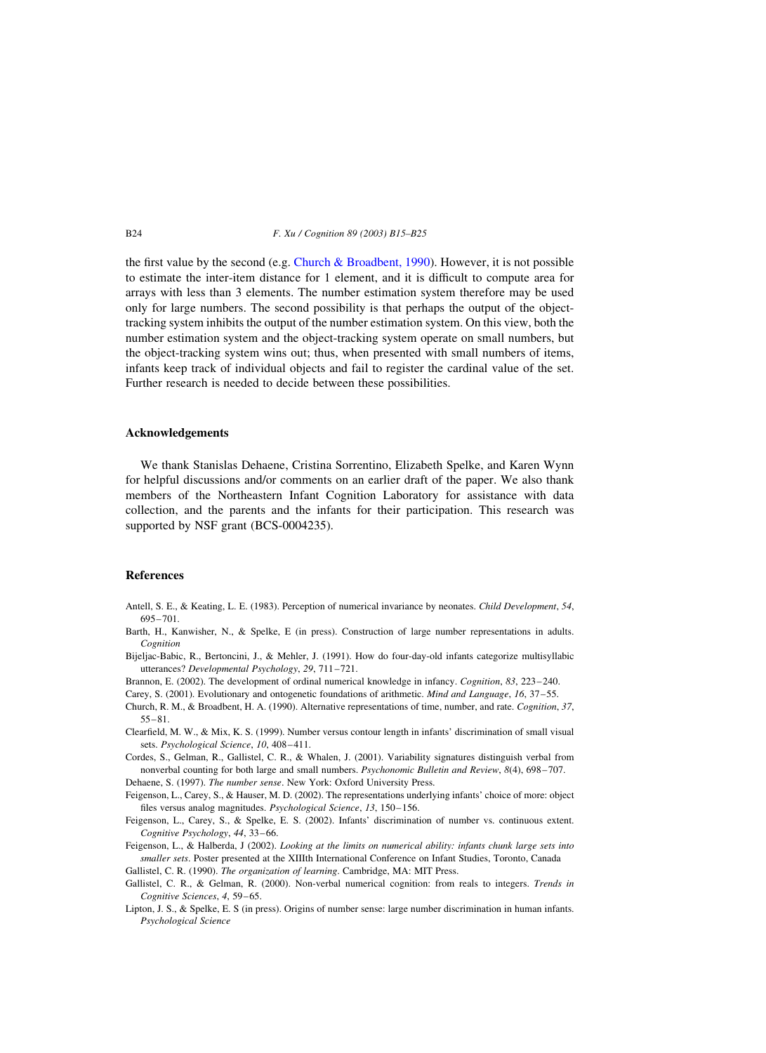#### B24 F. Xu / Cognition 89 (2003) B15–B25

the first value by the second (e.g. Church  $\&$  Broadbent, 1990). However, it is not possible to estimate the inter-item distance for 1 element, and it is difficult to compute area for arrays with less than 3 elements. The number estimation system therefore may be used only for large numbers. The second possibility is that perhaps the output of the objecttracking system inhibits the output of the number estimation system. On this view, both the number estimation system and the object-tracking system operate on small numbers, but the object-tracking system wins out; thus, when presented with small numbers of items, infants keep track of individual objects and fail to register the cardinal value of the set. Further research is needed to decide between these possibilities.

## Acknowledgements

We thank Stanislas Dehaene, Cristina Sorrentino, Elizabeth Spelke, and Karen Wynn for helpful discussions and/or comments on an earlier draft of the paper. We also thank members of the Northeastern Infant Cognition Laboratory for assistance with data collection, and the parents and the infants for their participation. This research was supported by NSF grant (BCS-0004235).

## References

- Antell, S. E., & Keating, L. E. (1983). Perception of numerical invariance by neonates. Child Development, 54, 695–701.
- Barth, H., Kanwisher, N., & Spelke, E (in press). Construction of large number representations in adults. Cognition
- Bijeljac-Babic, R., Bertoncini, J., & Mehler, J. (1991). How do four-day-old infants categorize multisyllabic utterances? Developmental Psychology, 29, 711–721.
- Brannon, E. (2002). The development of ordinal numerical knowledge in infancy. Cognition, 83, 223–240.
- Carey, S. (2001). Evolutionary and ontogenetic foundations of arithmetic. Mind and Language, 16, 37–55.
- Church, R. M., & Broadbent, H. A. (1990). Alternative representations of time, number, and rate. Cognition, 37, 55–81.
- Clearfield, M. W., & Mix, K. S. (1999). Number versus contour length in infants' discrimination of small visual sets. Psychological Science, 10, 408–411.
- Cordes, S., Gelman, R., Gallistel, C. R., & Whalen, J. (2001). Variability signatures distinguish verbal from nonverbal counting for both large and small numbers. Psychonomic Bulletin and Review, 8(4), 698-707. Dehaene, S. (1997). The number sense. New York: Oxford University Press.

Feigenson, L., Carey, S., & Hauser, M. D. (2002). The representations underlying infants' choice of more: object files versus analog magnitudes. Psychological Science, 13, 150–156.

Feigenson, L., Carey, S., & Spelke, E. S. (2002). Infants' discrimination of number vs. continuous extent. Cognitive Psychology, 44, 33–66.

Feigenson, L., & Halberda, J (2002). Looking at the limits on numerical ability: infants chunk large sets into smaller sets. Poster presented at the XIIIth International Conference on Infant Studies, Toronto, Canada Gallistel, C. R. (1990). The organization of learning. Cambridge, MA: MIT Press.

- Gallistel, C. R., & Gelman, R. (2000). Non-verbal numerical cognition: from reals to integers. Trends in Cognitive Sciences, 4, 59–65.
- Lipton, J. S., & Spelke, E. S (in press). Origins of number sense: large number discrimination in human infants. Psychological Science

<span id="page-9-0"></span>